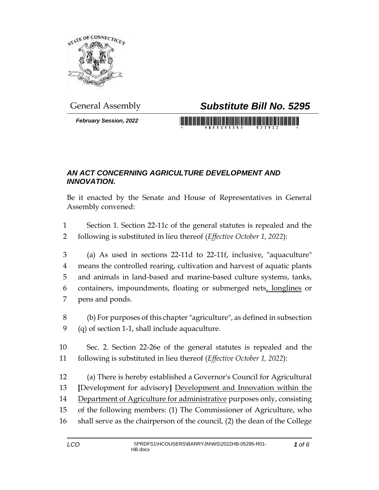

*February Session, 2022*

## General Assembly *Substitute Bill No. 5295*

<u> Timba ka matsayin shekara ta 1999 ta 1999 ta 1999 ta 1999 ta 1999 ta 1999 ta 1999 ta 1999 ta 1999 ta 1999 ta 1999 ta 1999 ta 1999 ta 1999 ta 1999 ta 1999 ta 1999 ta 1999 ta 1999 ta 1999 ta 1999 ta 1999 ta 1999 ta 1999 ta</u>

## *AN ACT CONCERNING AGRICULTURE DEVELOPMENT AND INNOVATION.*

Be it enacted by the Senate and House of Representatives in General Assembly convened:

 Section 1. Section 22-11c of the general statutes is repealed and the following is substituted in lieu thereof (*Effective October 1, 2022*):

 (a) As used in sections 22-11d to 22-11f, inclusive, "aquaculture" means the controlled rearing, cultivation and harvest of aquatic plants and animals in land-based and marine-based culture systems, tanks, 6 containers, impoundments, floating or submerged nets, longlines or pens and ponds.

 (b) For purposes of this chapter "agriculture", as defined in subsection (q) of section 1-1, shall include aquaculture.

 Sec. 2. Section 22-26e of the general statutes is repealed and the following is substituted in lieu thereof (*Effective October 1, 2022*):

 (a) There is hereby established a Governor's Council for Agricultural **[**Development for advisory**]** Development and Innovation within the Department of Agriculture for administrative purposes only, consisting of the following members: (1) The Commissioner of Agriculture, who shall serve as the chairperson of the council, (2) the dean of the College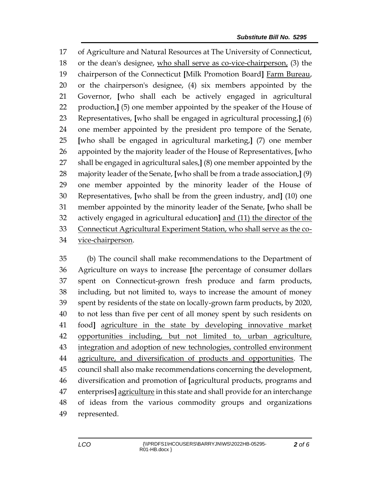of Agriculture and Natural Resources at The University of Connecticut, or the dean's designee, who shall serve as co-vice-chairperson, (3) the chairperson of the Connecticut **[**Milk Promotion Board**]** Farm Bureau, or the chairperson's designee, (4) six members appointed by the Governor, **[**who shall each be actively engaged in agricultural production,**]** (5) one member appointed by the speaker of the House of Representatives, **[**who shall be engaged in agricultural processing,**]** (6) one member appointed by the president pro tempore of the Senate, **[**who shall be engaged in agricultural marketing,**]** (7) one member appointed by the majority leader of the House of Representatives, **[**who shall be engaged in agricultural sales,**]** (8) one member appointed by the majority leader of the Senate, **[**who shall be from a trade association,**]** (9) one member appointed by the minority leader of the House of Representatives, **[**who shall be from the green industry, and**]** (10) one member appointed by the minority leader of the Senate, **[**who shall be actively engaged in agricultural education**]** and (11) the director of the Connecticut Agricultural Experiment Station, who shall serve as the co-vice-chairperson.

 (b) The council shall make recommendations to the Department of Agriculture on ways to increase **[**the percentage of consumer dollars spent on Connecticut-grown fresh produce and farm products, including, but not limited to, ways to increase the amount of money spent by residents of the state on locally-grown farm products, by 2020, to not less than five per cent of all money spent by such residents on food**]** agriculture in the state by developing innovative market opportunities including, but not limited to, urban agriculture, integration and adoption of new technologies, controlled environment agriculture, and diversification of products and opportunities. The council shall also make recommendations concerning the development, diversification and promotion of **[**agricultural products, programs and enterprises**]** agriculture in this state and shall provide for an interchange of ideas from the various commodity groups and organizations represented.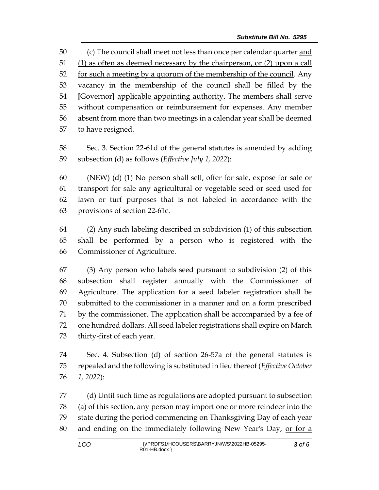(c) The council shall meet not less than once per calendar quarter and 51 (1) as often as deemed necessary by the chairperson, or (2) upon a call 52 for such a meeting by a quorum of the membership of the council. Any vacancy in the membership of the council shall be filled by the **[**Governor**]** applicable appointing authority. The members shall serve without compensation or reimbursement for expenses. Any member absent from more than two meetings in a calendar year shall be deemed to have resigned.

 Sec. 3. Section 22-61d of the general statutes is amended by adding subsection (d) as follows (*Effective July 1, 2022*):

 (NEW) (d) (1) No person shall sell, offer for sale, expose for sale or transport for sale any agricultural or vegetable seed or seed used for lawn or turf purposes that is not labeled in accordance with the provisions of section 22-61c.

 (2) Any such labeling described in subdivision (1) of this subsection shall be performed by a person who is registered with the Commissioner of Agriculture.

 (3) Any person who labels seed pursuant to subdivision (2) of this subsection shall register annually with the Commissioner of Agriculture. The application for a seed labeler registration shall be submitted to the commissioner in a manner and on a form prescribed by the commissioner. The application shall be accompanied by a fee of one hundred dollars. All seed labeler registrations shall expire on March thirty-first of each year.

 Sec. 4. Subsection (d) of section 26-57a of the general statutes is repealed and the following is substituted in lieu thereof (*Effective October 1, 2022*):

 (d) Until such time as regulations are adopted pursuant to subsection (a) of this section, any person may import one or more reindeer into the state during the period commencing on Thanksgiving Day of each year and ending on the immediately following New Year's Day, or for a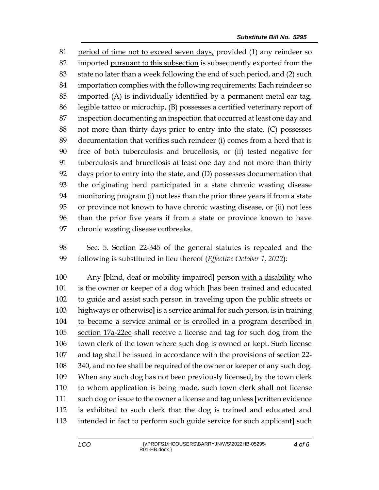period of time not to exceed seven days, provided (1) any reindeer so imported pursuant to this subsection is subsequently exported from the state no later than a week following the end of such period, and (2) such importation complies with the following requirements: Each reindeer so imported (A) is individually identified by a permanent metal ear tag, legible tattoo or microchip, (B) possesses a certified veterinary report of inspection documenting an inspection that occurred at least one day and not more than thirty days prior to entry into the state, (C) possesses documentation that verifies such reindeer (i) comes from a herd that is free of both tuberculosis and brucellosis, or (ii) tested negative for tuberculosis and brucellosis at least one day and not more than thirty days prior to entry into the state, and (D) possesses documentation that the originating herd participated in a state chronic wasting disease monitoring program (i) not less than the prior three years if from a state or province not known to have chronic wasting disease, or (ii) not less than the prior five years if from a state or province known to have chronic wasting disease outbreaks.

 Sec. 5. Section 22-345 of the general statutes is repealed and the following is substituted in lieu thereof (*Effective October 1, 2022*):

 Any **[**blind, deaf or mobility impaired**]** person with a disability who is the owner or keeper of a dog which **[**has been trained and educated to guide and assist such person in traveling upon the public streets or highways or otherwise**]** is a service animal for such person, is in training to become a service animal or is enrolled in a program described in section 17a-22ee shall receive a license and tag for such dog from the town clerk of the town where such dog is owned or kept. Such license and tag shall be issued in accordance with the provisions of section 22- 340, and no fee shall be required of the owner or keeper of any such dog. 109 When any such dog has not been previously licensed, by the town clerk to whom application is being made, such town clerk shall not license such dog or issue to the owner a license and tag unless **[**written evidence is exhibited to such clerk that the dog is trained and educated and intended in fact to perform such guide service for such applicant**]** such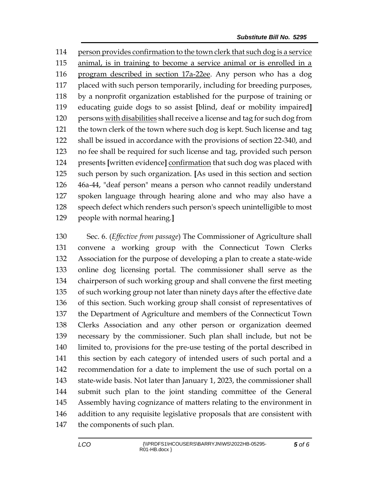person provides confirmation to the town clerk that such dog is a service animal, is in training to become a service animal or is enrolled in a program described in section 17a-22ee. Any person who has a dog 117 placed with such person temporarily, including for breeding purposes, by a nonprofit organization established for the purpose of training or educating guide dogs to so assist **[**blind, deaf or mobility impaired**]** persons with disabilities shall receive a license and tag for such dog from the town clerk of the town where such dog is kept. Such license and tag shall be issued in accordance with the provisions of section 22-340, and no fee shall be required for such license and tag, provided such person presents **[**written evidence**]** confirmation that such dog was placed with such person by such organization. **[**As used in this section and section 46a-44, "deaf person" means a person who cannot readily understand spoken language through hearing alone and who may also have a speech defect which renders such person's speech unintelligible to most people with normal hearing.**]**

 Sec. 6. (*Effective from passage*) The Commissioner of Agriculture shall convene a working group with the Connecticut Town Clerks Association for the purpose of developing a plan to create a state-wide online dog licensing portal. The commissioner shall serve as the chairperson of such working group and shall convene the first meeting of such working group not later than ninety days after the effective date of this section. Such working group shall consist of representatives of the Department of Agriculture and members of the Connecticut Town Clerks Association and any other person or organization deemed necessary by the commissioner. Such plan shall include, but not be limited to, provisions for the pre-use testing of the portal described in this section by each category of intended users of such portal and a recommendation for a date to implement the use of such portal on a state-wide basis. Not later than January 1, 2023, the commissioner shall submit such plan to the joint standing committee of the General Assembly having cognizance of matters relating to the environment in addition to any requisite legislative proposals that are consistent with the components of such plan.